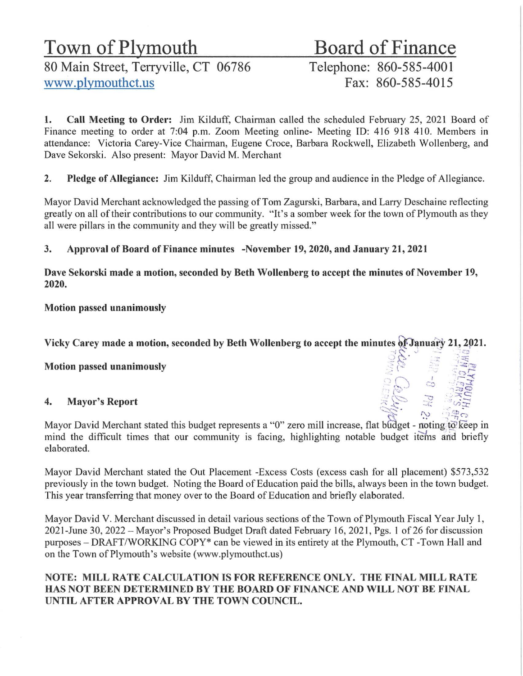# Town of Plymouth Board of Finance

80 Main Street, Terryville, CT 06786<br>Www.plymouthct.us<br>Fax: 860-585-4015 www.plymouthct.us

1. Call Meeting to Order: Jim Kilduff, Chairman called the scheduled February 25, 2021 Board of Finance meeting to order at 7:04 p.m. Zoom Meeting online- Meeting TD: 416 918 410. Members in attendance: Victoria Carey-Vice Chairman, Eugene Croce, Barbara Rockwell, Elizabeth Wollenberg, and Dave Sekorski. Also present: Mayor David M. Merchant

2. Pledge of Allegiance: Jim Kilduff, Chairman led the group and audience in the Pledge of Allegiance.

Mayor David Merchant acknowledged the passing of Tom Zagurski, Barbara, and Larry Deschaine reflecting greatly on all of their contributions to our community. "It's a somber week for the town of Plymouth as they all were pillars in the community and they will be greatly missed."

## 3. Approval of Board of Finance minutes -November 19, 2020, and January 21, 2021

Dave Sekorski made a motion, seconded by Beth Wollenberg to accept the minutes of November 19, 2020.

Motion passed unanimously

Vicky Carey made a motion, seconded by Beth Wollenberg to accept the minutes of January 21, 2021.

Motion passed unanimously

### 4. Mayor's Report



Mayor David Merchant stated this budget represents a "0" zero mill increase, flat budget - noting to keep in mind the difficult times that our community is facing, highlighting notable budget items and briefly elaborated.

Mayor David Merchant stated the Out Placement -Excess Costs (excess cash for all placement) \$573,532 previously in the town budget. Noting the Board of Education paid the bills, always been in the town budget. This year transferring that money over to the Board of Education and briefly elaborated.

Mayor David V. Merchant discussed in detail various sections of the Town of Plymouth Fiscal Year July 1, 2021-June 30, 2022 - Mayor's Proposed Budget Draft dated February 16, 202 1, Pgs. 1 of 26 for discussion purposes - DRAFT/WORKING COPY\* can be viewed in its entirety at the Plymouth, CT -Town Hall and on the Town of Plymouth's website (www.plymouthct.us)

### NOTE: MILL RATE CALCULATION IS FOR REFERENCE ONLY. THE FINAL MILL RATE HAS NOT BEEN DETERMINED BY THE BOARD OF FINANCE AND WILL NOT BE FINAL UNTIL AFTER APPROVAL BY THE TOWN COUNCIL.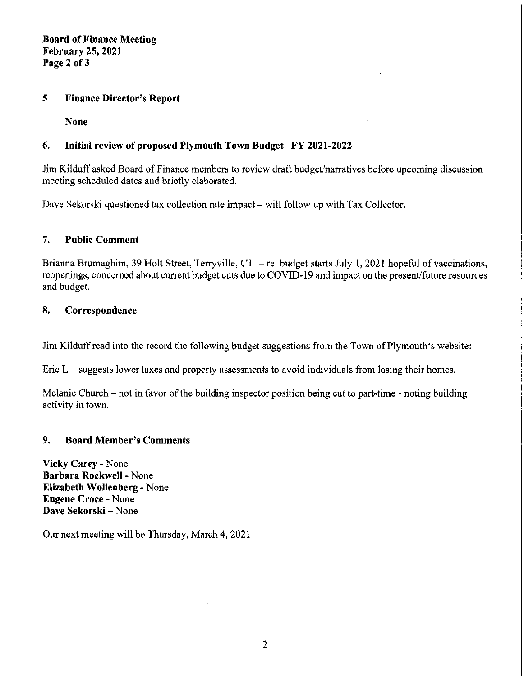**Board of Finance Meeting February 25, 2021 Page 2 of3** 

#### **5 Finance Director's Report**

**None** 

### **6. Initial review of proposed Plymouth Town Budget FY 2021-2022**

Jim Kilduff asked Board of Finance members to review draft budget/narratives before upcoming discussion meeting scheduled dates and briefly elaborated.

Dave Sekorski questioned tax collection rate impact – will follow up with Tax Collector.

#### **7. Public Comment**

Brianna Brumaghim, 39 Holt Street, Terryville,  $CT - re$ . budget starts July 1, 2021 hopeful of vaccinations, reopenings, concerned about current budget cuts due to COVID-19 and impact on the present/future resources and budget.

#### **8. Correspondence**

Jim Kilduff read into the record the following budget suggestions from the Town of Plymouth's website:

Eric  $L$  – suggests lower taxes and property assessments to avoid individuals from losing their homes.

Melanie Church - not in favor of the building inspector position being cut to part-time - noting building activity in town.

#### **9. Board Member's Comments**

**Vicky Carey** - None **Barbara Rockwell** - None **Elizabeth Wollenberg-** None **Eugene Croce** - None **Dave Sekorski** - None

Our next meeting will be Thursday, March **4,** 2021